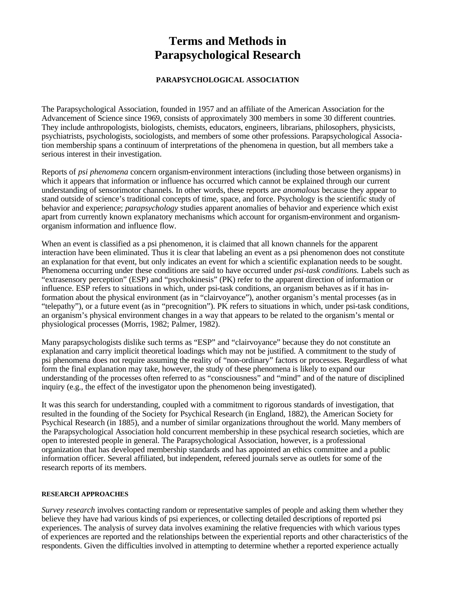## **Terms and Methods in Parapsychological Research**

## **PARAPSYCHOLOGICAL ASSOCIATION**

The Parapsychological Association, founded in 1957 and an affiliate of the American Association for the Advancement of Science since 1969, consists of approximately 300 members in some 30 different countries. They include anthropologists, biologists, chemists, educators, engineers, librarians, philosophers, physicists, psychiatrists, psychologists, sociologists, and members of some other professions. Parapsychological Association membership spans a continuum of interpretations of the phenomena in question, but all members take a serious interest in their investigation.

Reports of *psi phenomena* concern organism-environment interactions (including those between organisms) in which it appears that information or influence has occurred which cannot be explained through our current understanding of sensorimotor channels. In other words, these reports are *anomalous* because they appear to stand outside of science's traditional concepts of time, space, and force. Psychology is the scientific study of behavior and experience; *parapsychology* studies apparent anomalies of behavior and experience which exist apart from currently known explanatory mechanisms which account for organism-environment and organismorganism information and influence flow.

When an event is classified as a psi phenomenon, it is claimed that all known channels for the apparent interaction have been eliminated. Thus it is clear that labeling an event as a psi phenomenon does not constitute an explanation for that event, but only indicates an event for which a scientific explanation needs to be sought. Phenomena occurring under these conditions are said to have occurred under *psi-task conditions.* Labels such as "extrasensory perception" (ESP) and "psychokinesis" (PK) refer to the apparent direction of information or influence. ESP refers to situations in which, under psi-task conditions, an organism behaves as if it has information about the physical environment (as in "clairvoyance"), another organism's mental processes (as in "telepathy"), or a future event (as in "precognition"). PK refers to situations in which, under psi-task conditions, an organism's physical environment changes in a way that appears to be related to the organism's mental or physiological processes (Morris, 1982; Palmer, 1982).

Many parapsychologists dislike such terms as "ESP" and "clairvoyance" because they do not constitute an explanation and carry implicit theoretical loadings which may not be justified. A commitment to the study of psi phenomena does not require assuming the reality of "non-ordinary" factors or processes. Regardless of what form the final explanation may take, however, the study of these phenomena is likely to expand our understanding of the processes often referred to as "consciousness" and "mind" and of the nature of disciplined inquiry (e.g., the effect of the investigator upon the phenomenon being investigated).

It was this search for understanding, coupled with a commitment to rigorous standards of investigation, that resulted in the founding of the Society for Psychical Research (in England, 1882), the American Society for Psychical Research (in 1885), and a number of similar organizations throughout the world. Many members of the Parapsychological Association hold concurrent membership in these psychical research societies, which are open to interested people in general. The Parapsychological Association, however, is a professional organization that has developed membership standards and has appointed an ethics committee and a public information officer. Several affiliated, but independent, refereed journals serve as outlets for some of the research reports of its members.

## **RESEARCH APPROACHES**

*Survey research* involves contacting random or representative samples of people and asking them whether they believe they have had various kinds of psi experiences, or collecting detailed descriptions of reported psi experiences. The analysis of survey data involves examining the relative frequencies with which various types of experiences are reported and the relationships between the experiential reports and other characteristics of the respondents. Given the difficulties involved in attempting to determine whether a reported experience actually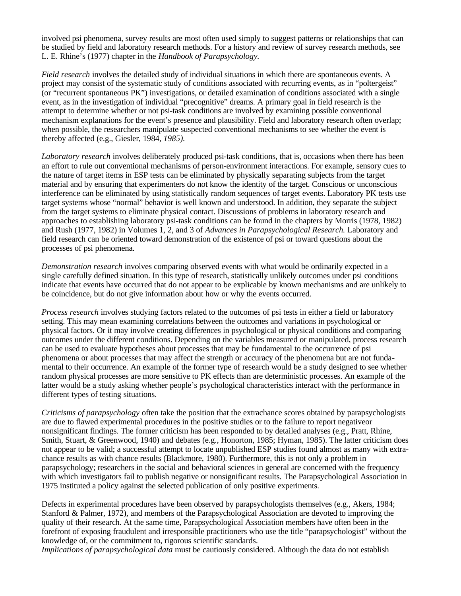involved psi phenomena, survey results are most often used simply to suggest patterns or relationships that can be studied by field and laboratory research methods. For a history and review of survey research methods, see L. E. Rhine's (1977) chapter in the *Handbook of Parapsychology.*

*Field research* involves the detailed study of individual situations in which there are spontaneous events. A project may consist of the systematic study of conditions associated with recurring events, as in "poltergeist" (or "recurrent spontaneous PK") investigations, or detailed examination of conditions associated with a single event, as in the investigation of individual "precognitive" dreams. A primary goal in field research is the attempt to determine whether or not psi-task conditions are involved by examining possible conventional mechanism explanations for the event's presence and plausibility. Field and laboratory research often overlap; when possible, the researchers manipulate suspected conventional mechanisms to see whether the event is thereby affected (e.g., Giesler, 1984, *1985).*

*Laboratory research* involves deliberately produced psi-task conditions, that is, occasions when there has been an effort to rule out conventional mechanisms of person-environment interactions. For example, sensory cues to the nature of target items in ESP tests can be eliminated by physically separating subjects from the target material and by ensuring that experimenters do not know the identity of the target. Conscious or unconscious interference can be eliminated by using statistically random sequences of target events. Laboratory PK tests use target systems whose "normal" behavior is well known and understood. In addition, they separate the subject from the target systems to eliminate physical contact. Discussions of problems in laboratory research and approaches to establishing laboratory psi-task conditions can be found in the chapters by Morris (1978, 1982) and Rush (1977, 1982) in Volumes 1, 2, and 3 of *Advances in Parapsychological Research.* Laboratory and field research can be oriented toward demonstration of the existence of psi or toward questions about the processes of psi phenomena.

*Demonstration research* involves comparing observed events with what would be ordinarily expected in a single carefully defined situation. In this type of research, statistically unlikely outcomes under psi conditions indicate that events have occurred that do not appear to be explicable by known mechanisms and are unlikely to be coincidence, but do not give information about how or why the events occurred.

*Process research* involves studying factors related to the outcomes of psi tests in either a field or laboratory setting. This may mean examining correlations between the outcomes and variations in psychological or physical factors. Or it may involve creating differences in psychological or physical conditions and comparing outcomes under the different conditions. Depending on the variables measured or manipulated, process research can be used to evaluate hypotheses about processes that may be fundamental to the occurrence of psi phenomena or about processes that may affect the strength or accuracy of the phenomena but are not fundamental to their occurrence. An example of the former type of research would be a study designed to see whether random physical processes are more sensitive to PK effects than are deterministic processes. An example of the latter would be a study asking whether people's psychological characteristics interact with the performance in different types of testing situations.

*Criticisms of parapsychology* often take the position that the extrachance scores obtained by parapsychologists are due to flawed experimental procedures in the positive studies or to the failure to report negativeor nonsignificant findings. The former criticism has been responded to by detailed analyses (e.g., Pratt, Rhine, Smith, Stuart, & Greenwood, 1940) and debates (e.g., Honorton, 1985; Hyman, 1985). The latter criticism does not appear to be valid; a successful attempt to locate unpublished ESP studies found almost as many with extrachance results as with chance results (Blackmore, 1980). Furthermore, this is not only a problem in parapsychology; researchers in the social and behavioral sciences in general are concerned with the frequency with which investigators fail to publish negative or nonsignificant results. The Parapsychological Association in 1975 instituted a policy against the selected publication of only positive experiments.

Defects in experimental procedures have been observed by parapsychologists themselves (e.g., Akers, 1984; Stanford & Palmer, 1972), and members of the Parapsychological Association are devoted to improving the quality of their research. At the same time, Parapsychological Association members have often been in the forefront of exposing fraudulent and irresponsible practitioners who use the title "parapsychologist" without the knowledge of, or the commitment to, rigorous scientific standards.

*Implications of parapsychological data* must be cautiously considered. Although the data do not establish